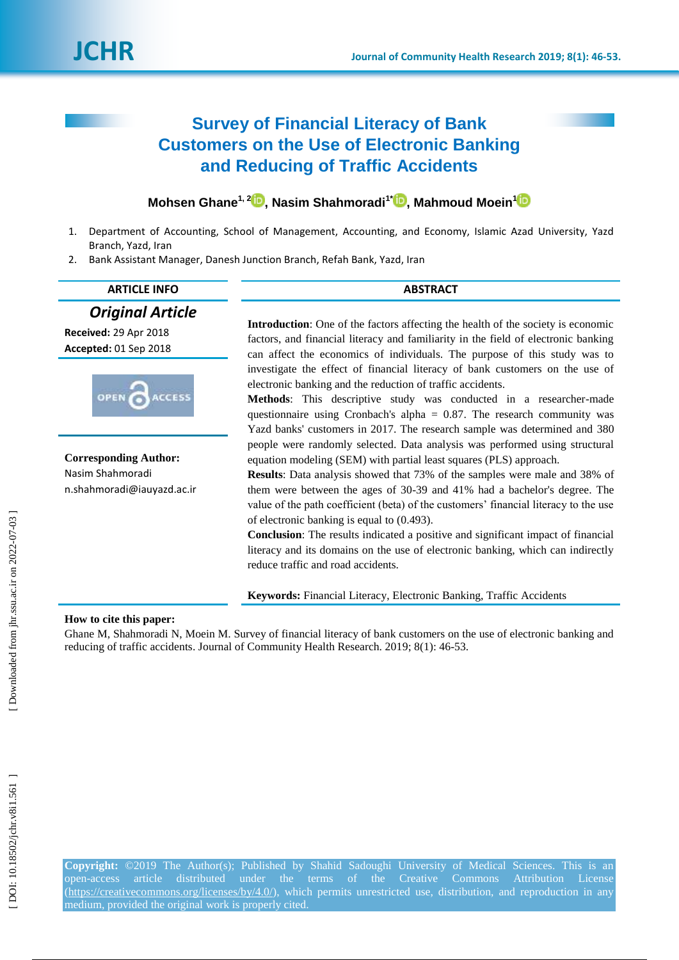# **Survey of Financial Literacy of Bank Customers on the Use of Electronic Banking and Reducing of Traffic Accidents**

# **Mohsen Ghane 1, [2](https://orcid.org/0000-0002-5007-2980) , Nasim Shahmoradi 1 \* [,](https://orcid.org/0000-0002-1430-553X) Mahmoud Moein 1**

- 1. Department of Accounting, School of Management, Accounting, and Economy, Islamic Azad University, Yazd Branch, Yazd, Iran
- 2. Bank Assistant Manager, Danesh Junction Branch, Refah Bank, Yazd, Iran

| <b>ARTICLE INFO</b>                                                            | <b>ABSTRACT</b>                                                                                                                                                                                                                                                                                                                                                                                                                                                                                                                                                                                                                                                                 |  |  |
|--------------------------------------------------------------------------------|---------------------------------------------------------------------------------------------------------------------------------------------------------------------------------------------------------------------------------------------------------------------------------------------------------------------------------------------------------------------------------------------------------------------------------------------------------------------------------------------------------------------------------------------------------------------------------------------------------------------------------------------------------------------------------|--|--|
| <b>Original Article</b><br>Received: 29 Apr 2018<br>Accepted: 01 Sep 2018      | <b>Introduction:</b> One of the factors affecting the health of the society is economic<br>factors, and financial literacy and familiarity in the field of electronic banking<br>can affect the economics of individuals. The purpose of this study was to                                                                                                                                                                                                                                                                                                                                                                                                                      |  |  |
| OPEN<br><b>ACCESS</b>                                                          | investigate the effect of financial literacy of bank customers on the use of<br>electronic banking and the reduction of traffic accidents.<br><b>Methods:</b> This descriptive study was conducted in a researcher-made<br>questionnaire using Cronbach's alpha = $0.87$ . The research community was<br>Yazd banks' customers in 2017. The research sample was determined and 380                                                                                                                                                                                                                                                                                              |  |  |
| <b>Corresponding Author:</b><br>Nasim Shahmoradi<br>n.shahmoradi@iauyazd.ac.ir | people were randomly selected. Data analysis was performed using structural<br>equation modeling (SEM) with partial least squares (PLS) approach.<br><b>Results:</b> Data analysis showed that 73% of the samples were male and 38% of<br>them were between the ages of 30-39 and 41% had a bachelor's degree. The<br>value of the path coefficient (beta) of the customers' financial literacy to the use<br>of electronic banking is equal to $(0.493)$ .<br><b>Conclusion:</b> The results indicated a positive and significant impact of financial<br>literacy and its domains on the use of electronic banking, which can indirectly<br>reduce traffic and road accidents. |  |  |

**Keywords:** Financial Literacy, Electronic Banking, Traffic Accidents

# **How to cite this paper:**

Ghane M, Shahmoradi N, Moein M. Survey of financial literacy of bank customers on the use of electronic banking and reducing of traffic accidents. Journal of Community Health Research. 2019; 8(1): 46-53.

[Downloaded from jhr.ssu.ac.ir on 2022-07-03

**Copyright:** ©201 9 The Author(s); Published by Shahid Sadoughi University of Medical Sciences. This is an open -access article distributed under the terms of the Creative Commons Attribution License [\(https://creativecommons.org/licenses/by/4.0/\)](https://creativecommons.org/licenses/by/4.0/), which permits unrestricted use, distribution, and reproduction in any medium, provided the original work is properly cited.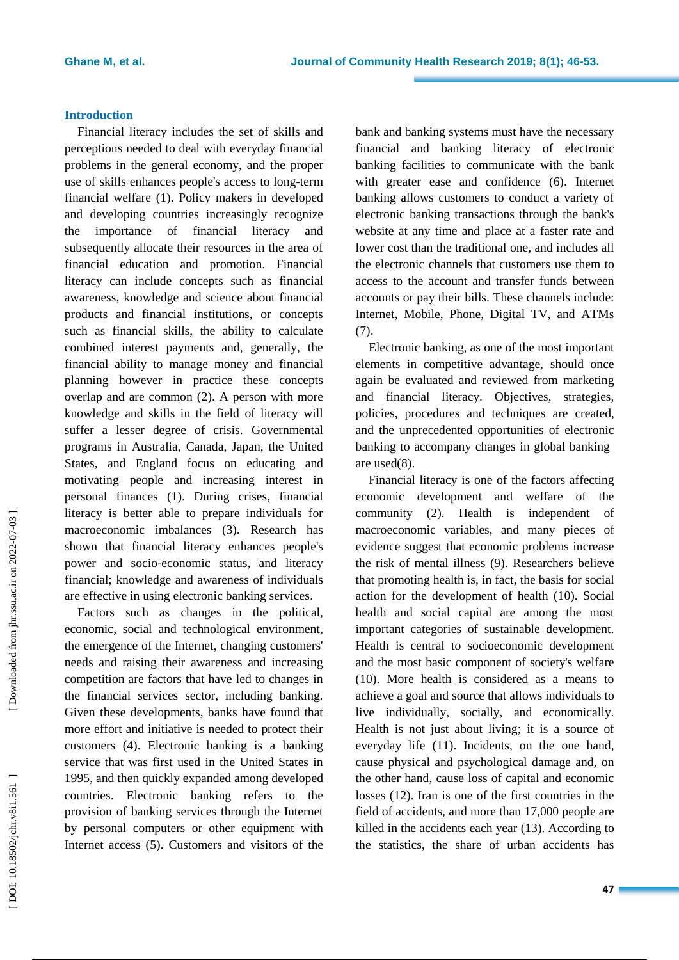### **Introduction**

Financial literacy includes the set of skills and perceptions needed to deal with everyday financial problems in the general economy, and the proper use of skills enhances people's access to long -term financial welfare ( 1 ). Policy makers in developed and developing countries increasingly recognize the importance of financial literacy and subsequently allocat e their resources in the area of financial education and promotion. Financial literacy can include concepts such as financial awareness, knowledge and science about financial products and financial institutions, or concepts such as financial skills, the ability to calculate combined interest payments and, generally, the financial ability to manage money and financial planning however in practice these concepts overlap and are common ( 2 ) . A person with more knowledge and skills in the field of literacy will suffer a lesser degree of crisis. Governmental programs in Australia, Canada, Japan, the United States , and England focus on educating and motivating people and increasing interest in personal finances ( 1 ). During crises, financial literacy is better able to prepare individuals for macroeconomic imbalances ( 3 ) . Research has shown that financial literacy enhances people's power and socio -economic status, and literacy financial; knowledge and awareness of individuals are effective in using electronic banking services .

Factors such as changes in the political, economic, social and technological environment, the emergence of the Internet, changing customers' needs and raising their awareness and increasing competition are factors that have led to changes in the financial services sector, including banking. Given these developments, banks have found that more effort and initiative is needed to protect their customers ( 4 ) . Electronic banking is a banking service that was first used in the United States in 1995 , and then quickly expanded among developed countries. Electronic banking refers to the provision of banking services through the Internet by personal computers or other equipment with Internet access ( 5 ). Customers and visitors of the bank and banking systems must have the necessary financial and banking literacy of electronic banking facilities to communicate with the bank with greater ease and confidence (6). Internet banking allows customers to conduct a variety of electronic banking transactions through the bank's website at any time and place at a faster rate and lower cost than the traditional one, and includes all the electronic channels that customers use them to access to the account and transfer funds between accounts or pay their bills. These channels include: Internet, Mobile, Phone, Digital TV, and ATMs (7).

Electronic banking, as one of the most important elements in competitive advantage, should once again be evaluated and reviewed from marketing and financial literacy. Objectives, strategies, policies, procedures and techniques are created, and the unprecedented opportunities of electronic banking to accompany changes in global banking are used ( 8 ) .

Financial literacy is one of the factors affecting economic development and welfare of the community ( 2 ). Health is independent of macroeconomic variables, and many pieces of evidenc e suggest that economic problems increase the risk of mental illness ( 9 ). Researchers believe that promoting health is , in fact , the basis for social action for the development of health (10 ). Social health and social capital are among the most important categories of sustainable development. Health is central to socioeconomic development and the most basic component of society's welfare (10). More health is considered as a means to achieve a goal and source that allows individuals to live individually, socially, and economically. Health is not just about living ; it is a source of everyday life (11 ). Incidents, on the one hand, cause physical and psychological damage and, on the other hand, cause loss of capital and economic losses (12 ). Iran is one of the first countries in the field of accidents, and more than 17,000 people are killed in the accidents each year (13 ). According to the statistics, the share of urban accidents has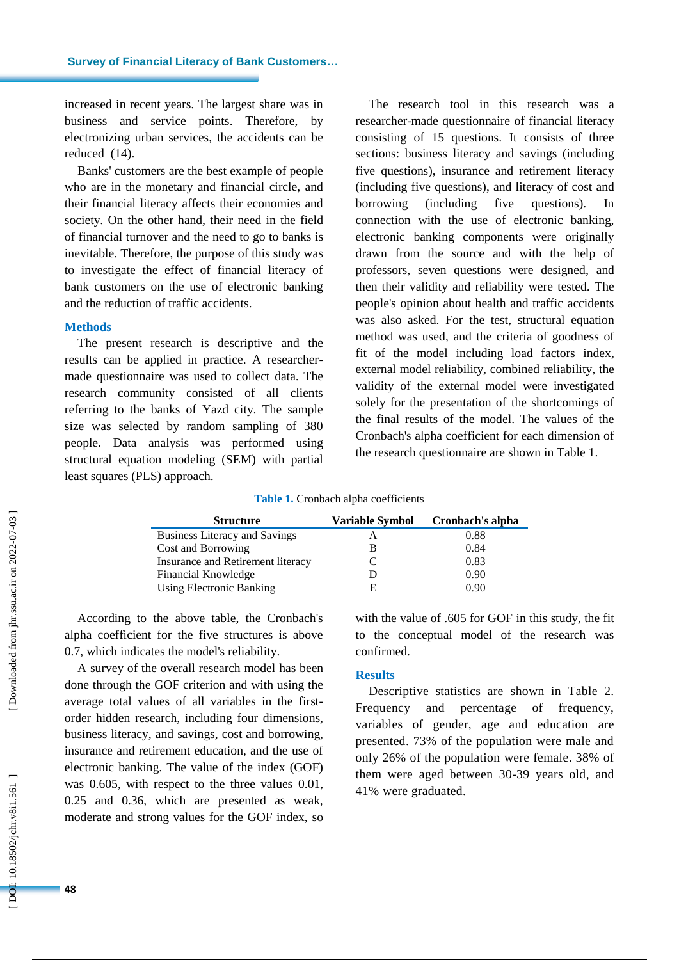increased in recent years. The largest share was in business and service points. Therefore, by electronizing urban services , the accidents can be reduced (14 ) .

Banks' customers are the best example of people who are in the monetary and financial circle, and their financial literacy affects their economies and society. On the other hand, their need in the field of financial turnover and the need to go to banks is inevitable . Therefore, the purpose of this study was to investigate the effect of financial literacy of bank customers on the use of electronic banking and the reduction of traffic accidents .

#### **Method s**

The present research is descriptive and the results can be applied in practice. A researcher made questionnaire was used to collect data. The research community consisted of all clients referring to the banks of Yazd city. The sample size was selected by random sampling of 380 people. Data analysis was performed using structural equation modeling (SEM) with partial least squares (PLS) approach.

The research tool in this research was a researcher -made questionnaire of financial literacy consisting of 15 questions. It consists of three sections: business literacy and savings (including five questions), insurance and retirement literacy (including five questions), and literacy of cost and borrowing (including five questions). ). In connection with the use of electronic banking, electronic banking components were originally drawn from the source and with the help of professors, seven questions were designed , and then their validity and reliability were tested. The people's opinion about health and traffic accidents was also asked. For the test, structural equation method was used , and the criteria of goodness of fit of the model including load factors index, external model reliability, combined reliability, the validity of the external model were investigated solely for the presentation of the shortcomings of the final results of the model. The values of the Cronbach's alpha coefficient for each dimension of the research questionnaire are shown in Table 1.

**Table 1 .** Cronbach alpha coefficients

| <b>Structure</b>                     | Variable Symbol | Cronbach's alpha |  |
|--------------------------------------|-----------------|------------------|--|
| <b>Business Literacy and Savings</b> |                 | 0.88             |  |
| Cost and Borrowing                   |                 | 0.84             |  |
| Insurance and Retirement literacy    |                 | 0.83             |  |
| Financial Knowledge                  |                 | 0.90             |  |
| <b>Using Electronic Banking</b>      | F               | 0.90             |  |

According to the above table, the Cronbach's alpha coefficient for the five structures is above 0.7, which indicates the model's reliability.

A survey of the overall research model has been done through the GOF criterion and with using the average total values of all variables in the first order hidden research, including four dimensions, business literacy , and savings, cost and borrowing, insurance and retirement education, and the use of electronic banking. The value of the index (GOF) was 0.605, with respect to the three values 0.01, 0.25 and 0.36, which are presented as weak, moderate and strong values for the GOF index, so

with the value of .605 for GOF in this study, the fit to the conceptual model of the research was confirmed.

#### **Results**

Descriptive statistics are shown in Table 2. Frequency and percentage of frequency, variables of gender, age and education are presented. 73% of the population were male and only 26% of the population were female. 38% of them were aged between 30 -39 years old , and 41% were graduated.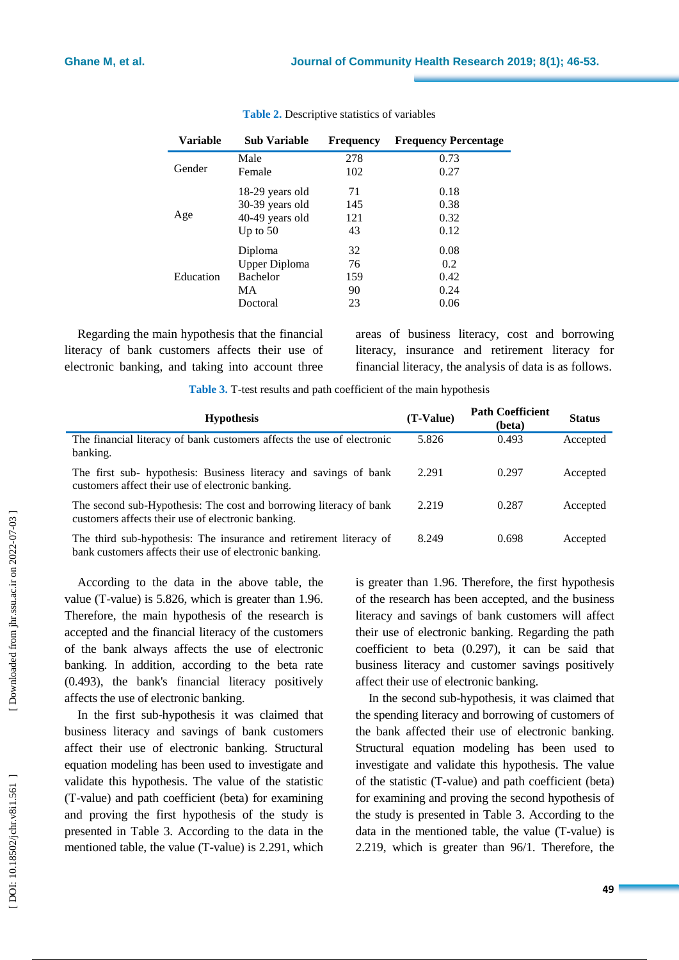| Variable  | <b>Sub Variable</b> | Frequency | <b>Frequency Percentage</b> |
|-----------|---------------------|-----------|-----------------------------|
| Gender    | Male                | 278       | 0.73                        |
|           | Female              | 102       | 0.27                        |
| Age       | 18-29 years old     | 71        | 0.18                        |
|           | 30-39 years old     | 145       | 0.38                        |
|           | 40-49 years old     | 121       | 0.32                        |
|           | Up to $50$          | 43        | 0.12                        |
| Education | Diploma             | 32        | 0.08                        |
|           | Upper Diploma       | 76        | 0.2                         |
|           | <b>Bachelor</b>     | 159       | 0.42                        |
|           | MA                  | 90        | 0.24                        |
|           | Doctoral            | 23        | 0.06                        |

## **Table 2 .** Descriptive statistics of variables

Regarding the main hypothesis that the financial literacy of bank customers affects their use of electronic banking, and taking into account three areas of business literacy, cost and borrowing literacy, insurance and retirement literacy for financial literacy, the analysis of data is as follows.

Table 3. T-test results and path coefficient of the main hypothesis

| <b>Hypothesis</b>                                                                                                             | $(T-Value)$ | <b>Path Coefficient</b><br>(beta) | <b>Status</b> |
|-------------------------------------------------------------------------------------------------------------------------------|-------------|-----------------------------------|---------------|
| The financial literacy of bank customers affects the use of electronic<br>banking.                                            | 5.826       | 0.493                             | Accepted      |
| The first sub- hypothesis: Business literacy and savings of bank<br>customers affect their use of electronic banking.         | 2.291       | 0.297                             | Accepted      |
| The second sub-Hypothesis: The cost and borrowing literacy of bank<br>customers affects their use of electronic banking.      | 2.219       | 0.287                             | Accepted      |
| The third sub-hypothesis: The insurance and retirement literacy of<br>bank customers affects their use of electronic banking. | 8.249       | 0.698                             | Accepted      |

According to the data in the above table, the value (T -value) is 5.826, which is greater than 1.96. Therefore, the main hypothesis of the research is accepted and the financial literacy of the customers of the bank always affects the use of electronic banking. In addition, according to the beta rate (0.493), the bank's financial literacy positively affects the use of electronic banking.

In the first sub -hypothesis it was claimed that business literacy and savings of bank customers affect their use of electronic banking. Structural equation modeling has been used to investigate and validate this hypothesis. The value of the statistic (T-value) and path coefficient (beta) for examining and proving the first hypothesis of the study is presented in Table 3. According to the data in the mentioned table, the value (T -value) is 2.291, which is greater than 1.96. Therefore, the first hypothesis of the research has been accepted , and the business literacy and savings of bank customers will affect their use of electronic banking. Regarding the path coefficient to beta (0.297), it can be said that business literacy and customer savings positively affect their use of electronic banking.

In the second sub -hypothesis, it was claimed that the spending literacy and borrowing of customers of the bank affected their use of electronic banking. Structural equation modeling has been used to investigate and validate this hypothesis. The value of the statistic (T -value) and path coefficient (beta) for examining and proving the second hypothesis of the study is presented in Table 3. According to the data in the mentioned table, the value (T -value) is 2.219, which is greater than 96/1. Therefore, the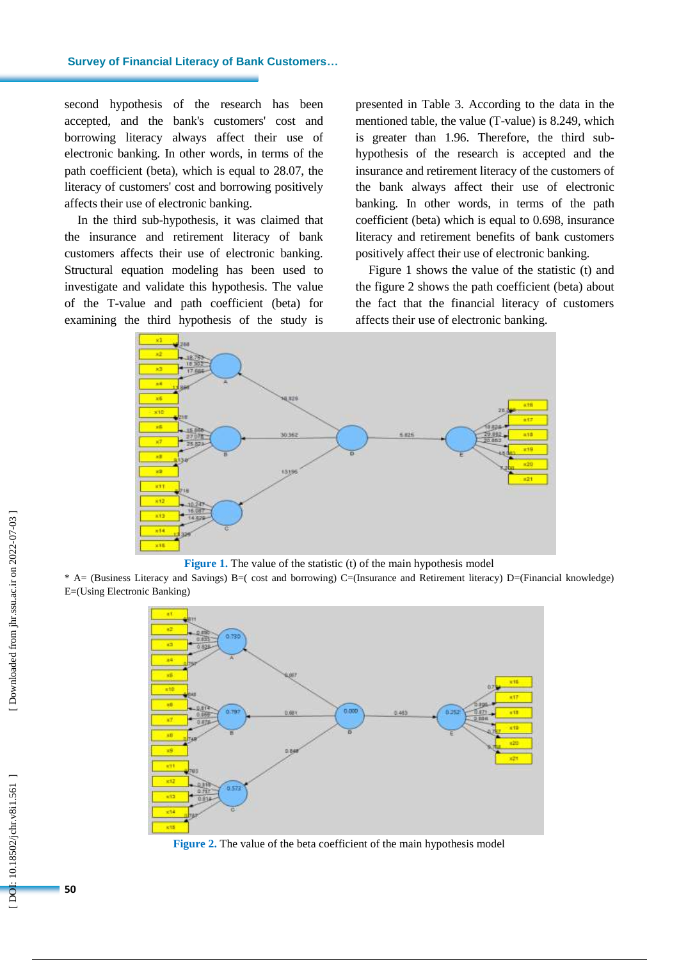second hypothesis of the research has been accepted , and the bank's customers' cost and borrowing literacy always affect their use of electronic banking. In other words, in terms of the path coefficient (beta), which is equal to 28.07, the literacy of customers' cost and borrowing positively affects their use of electronic banking.

In the third sub -hypothesis , it was claimed that the insurance and retirement literacy of bank customers affects their use of electronic banking. Structural equation modeling has been used to investigate and validate this hypothesis. The value of the T -value and path coefficient (beta) for examining the third hypothesis of the study is

presented in Table 3. According to the data in the mentioned table, the value (T -value) is 8.249, which is greater than 1.96. Therefore, the third sub hypothesis of the research is accepted and the insurance and retirement literacy of the customers of the bank always affect their use of electronic banking. In other words, in terms of the path coefficient (beta) which is equal to 0.698, insurance literacy and retirement benefits of bank customers positively affect their use of electronic banking.

Figure 1 shows the value of the statistic (t) and the figure 2 shows the path coefficient (beta) about the fact that the financial literacy of customers affects their use of electronic banking.



**Figure 1.** The value of the statistic (t) of the main hypothesis model

\* A= (Business Literacy and Savings) B=( cost and borrowing) C=(Insurance and Retirement literacy) D=(Financial knowledge) E=(Using Electronic Banking )



**Figure 2 .** The value of the beta coefficient of the main hypothesis model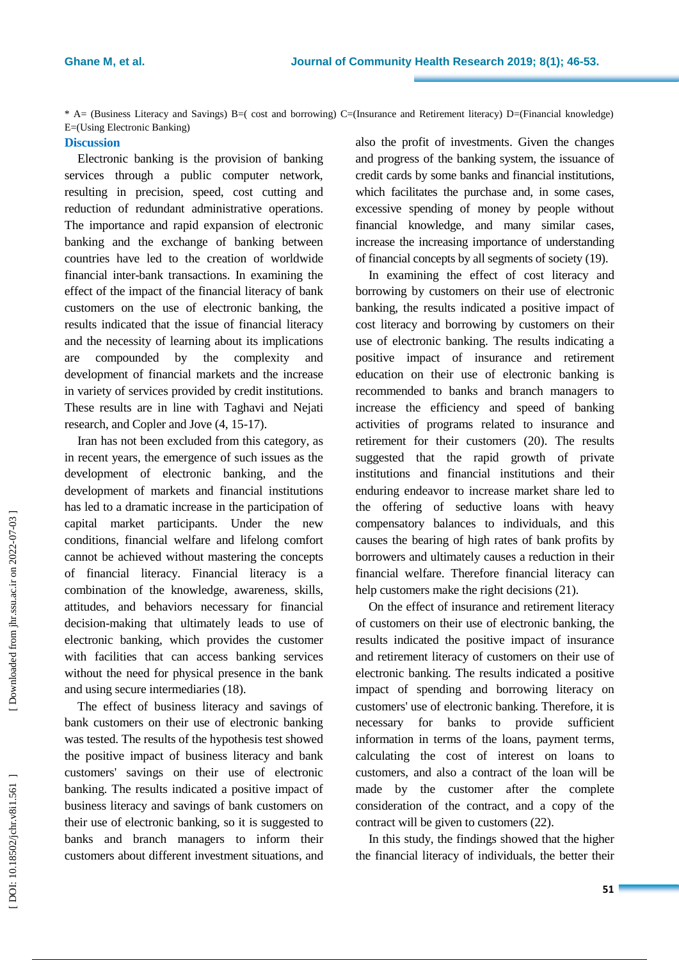\* A= (Business Literacy and Savings) B=( cost and borrowing) C=(Insurance and Retirement literacy) D=(Financial knowledge) E=(Using Electronic Banking)

# **Discussion**

Electronic banking is the provision of banking services through a public computer network, resulting in precision, speed, cost cutting and reduction of redundant administrative operations. The importance and rapid expansion of electronic banking and the exchange of banking between countries have led to the creation of worldwide financial inter -bank transactions. In examining the effect of the impact of the financial literacy of bank customers on the use of electronic banking, the results indicate d that the issue of financial literacy and the necessity of learning about its implications are compounded by the complexity and development of financial markets and the increase in variety of services provided by credit institutions. These results are in line with Taghavi and Nejati research, and Copler and Jove  $(4, 15-17)$ .

Iran has not been excluded from this category, as in recent years, the emergence of such issues as the development of electronic banking, and the development of markets and financial institutions has led to a dramatic increase in the participation of capital market participants. Under the new conditions, financial welfare and lifelong comfort cannot be achieved without mastering the concepts of financial literacy. Financial literacy is a combination of the knowledge, awareness, skills, attitudes , and behaviors necessary for financial decision -making that ultimately leads to use of electronic banking, which provides the customer with facilities that can access banking services without the need for physical presence in the bank and using secure intermediaries (18 ) .

The effect of business literacy and savings of bank customers on their use of electronic banking was tested. The results of the hypothesis test showed the positive impact of business literacy and bank customers' savings on their use of electronic banking. The results indicated a positive impact of business literacy and savings of bank customers on their use of electronic banking, so it is suggested to banks and branch managers to inform their customers about different investment situations, and

also the profit of investments . Given the changes and progress of the banking system, the issuance of credit cards by some banks and financial institutions, which facilitates the purchase and, in some cases, excessive spending of money by people without financial knowledge, and many similar cases, increase the increasing importance of understanding of financial concepts by all segments of society (19 ) .

In examining the effect of cost literacy and borrowing by customers on their use of electronic banking, the results indicated a positive impact of cost literacy and borrowing by customers on their use of electronic banking. The results indicating a positive impact of insurance and retirement education on their use of electronic banking is recommended to banks and branch managers to increase the efficiency and speed of banking activities of programs related to insurance and retirement for their customers (20 ). The results suggested that the rapid growth of private institutions and financial institutions and their enduring endeavor to increase market share led to the offering of seductive loans with heavy compensatory balances to individuals, and this cause s the bearing of high rates of bank profits by borrowers and ultimately causes a reduction in their financial welfare. Therefore financial literacy can help customers make the right decisions (21).

On the effect of insurance and retirement literacy of customers on their use of electronic banking, the results indicate d the positive impact of insurance and retirement literacy of customers on their use of electronic banking. The results indicate d a positive impact of spending and borrowing literacy on customers' use of electronic banking. Therefore, it is necessary for banks to provide sufficient information in terms of the loans, payment terms, calculating the cost of interest on loans to customers, and also a contract of the loan will be made by the customer after the complete consideration of the contract, and a copy of the contract will be given to customers (22 ) .

In this study, the findings showed that the higher the financial literacy of individuals, the better their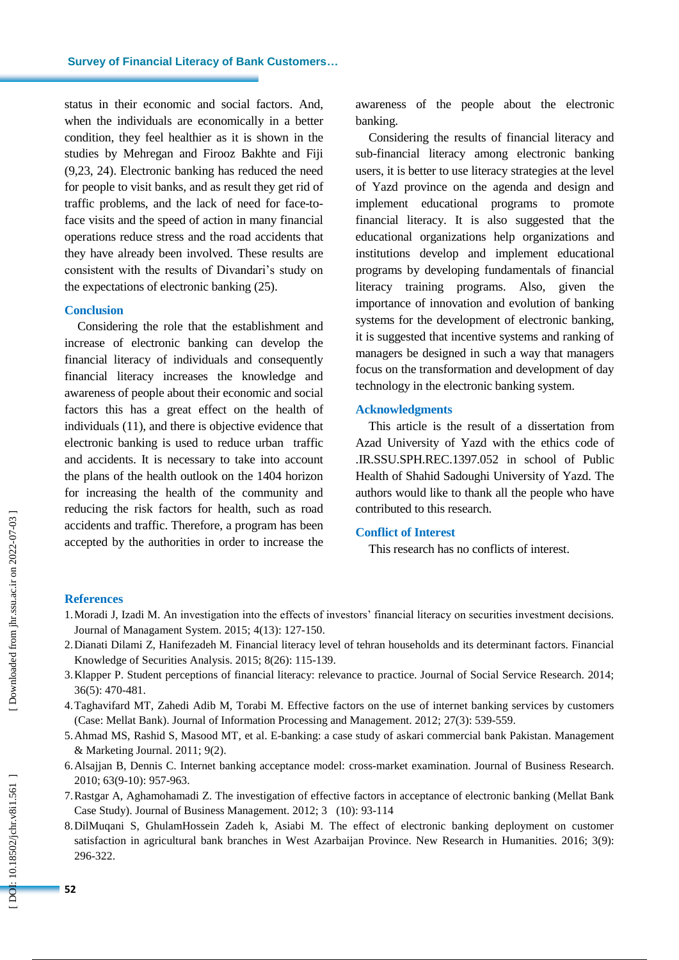status in their economic and social factors. And, when the individuals are economically in a better condition, they feel healthier as it is shown in the studies by Mehregan and Firooz Bakhte and Fiji (9,23, 24). Electronic banking has reduced the need for people to visit banks , and as result they get rid of traffic problems, and the lack of need for face -to face visits and the speed of action in many financial operations reduce stress and the road accidents that they have already been involved. These results are consistent with the results of Divandari's study on the expectations of electronic banking (25 ) .

#### **Conclusion**

Considering the role that the establishment and increase of electronic banking can develop the financial literacy of individuals and consequently financial literacy increases the knowledge and awareness of people about their economic and social factors this has a great effect on the health of individuals (11 ), and there is objective evidence that electronic banking is used to reduce urban traffic and accidents. It is necessary to take into account the plans of the health outlook on the 1404 horizon for increasing the health of the community and reducing the risk factors for health, such as road accidents and traffic. Therefore, a program has been accepted by the authorities in order to increase the

awareness of the people about the electronic banking .

Considering the results of financial literacy and sub -financial literacy among electronic banking users, it is better to use literacy strategies at the level of Yazd province on the agenda and design and implement educational programs to promote financial literacy. It is also suggested that the educational organizations help organizations and institutions develop and implement educational programs by developing fundamentals of financial literacy training programs. Also, given the importance of innovation and evolution of banking systems for the development of electronic banking, it is suggested that incentive systems and ranking of managers be designed in such a way that managers focus on the transformation and development of day technology in the electronic banking system.

#### **Acknowledgment s**

This article is the result of a dissertation from Azad University of Yazd with the ethics code of .IR.SSU.SPH.REC.1397.052 in school of Public Health of Shahid Sadoughi University of Yazd. The authors would like to thank all the people who have contributed to this research .

## **Conflict of Interest**

This research has no conflicts of interest.

#### **References**

- 1.Moradi J, Izadi M. An investigation into the effects of investors' financial literacy on securities investment decisions. Journal of Managament System. 2015; 4(13): 127 - 150.
- 2.Dianati Dilami Z, Hanifezadeh M. Financial literacy level of tehran households and its determinant factors. Financial Knowledge of Securities Analysis. 2015; 8(26): 115-139.
- 3.Klapper P. Student perceptions of financial literacy: relevance to practice. Journal of Social Service Research. 2014; 36(5): 470 - 481.
- 4.Taghavifard MT, Zahedi Adib M, Torabi M. Effective factors on the use of internet banking services by customers (Case: Mellat Bank). Journal of Information Processing and Management. 2012; 27(3): 539 - 559.
- 5.Ahmad MS, Rashid S, Masood MT, et al. E -banking: a case study of askari commercial bank Pakistan. Management & Marketing Journal. 2011; 9(2).
- 6.Alsajjan B, Dennis C. Internet banking acceptance model: cross -market examination. Journal of Business Research. 2010; 63(9 -10): 957 - 963.
- 7.Rastgar A, Aghamohamadi Z. The investigation of effective factors in acceptance of electronic banking (Mellat Bank Case Study). Journal of Business Management. 2012; 3 (10): 93 -114
- 8.DilMuqani S, GhulamHossein Zadeh k, Asiabi M. The effect of electronic banking deployment on customer satisfaction in agricultural bank branches in West Azarbaijan Province. New Research in Humanities. 2016; 3(9): 296 -322.

DOI: 10.18502/jchr.v8i1.561]